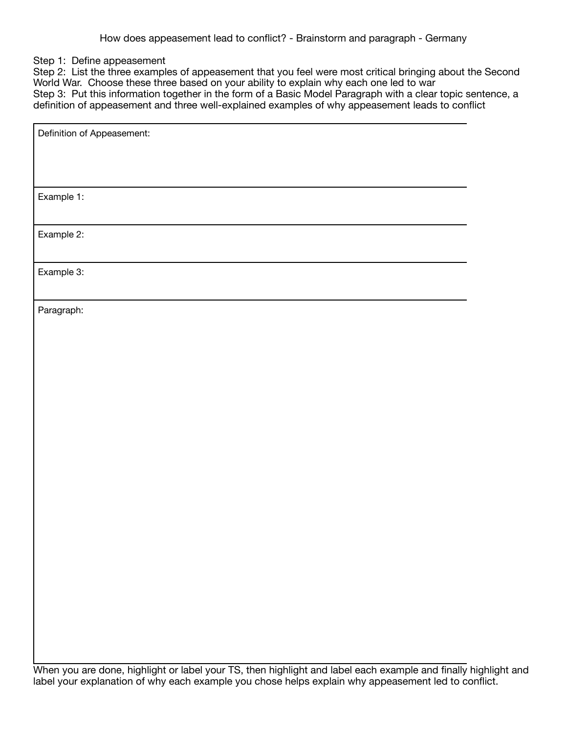## Step 1: Define appeasement

Step 2: List the three examples of appeasement that you feel were most critical bringing about the Second World War. Choose these three based on your ability to explain why each one led to war Step 3: Put this information together in the form of a Basic Model Paragraph with a clear topic sentence, a definition of appeasement and three well-explained examples of why appeasement leads to conflict

| Definition of Appeasement: |
|----------------------------|
|                            |
|                            |
|                            |
| Example 1:                 |
|                            |
| Example 2:                 |
|                            |
| Example 3:                 |
|                            |
| Paragraph:                 |
|                            |
|                            |
|                            |
|                            |
|                            |
|                            |
|                            |
|                            |
|                            |
|                            |
|                            |
|                            |
|                            |
|                            |
|                            |
|                            |
|                            |
|                            |
|                            |
|                            |

When you are done, highlight or label your TS, then highlight and label each example and finally highlight and label your explanation of why each example you chose helps explain why appeasement led to conflict.